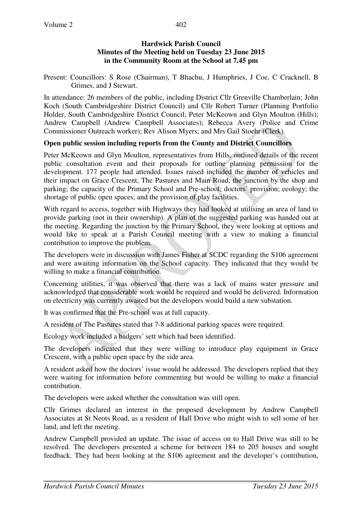### **Hardwick Parish Council Minutes of the Meeting held on Tuesday 23 June 2015 in the Community Room at the School at 7.45 pm**

Present: Councillors: S Rose (Chairman), T Bhachu, J Humphries, J Coe, C Cracknell, B Grimes, and J Stewart.

In attendance: 26 members of the public, including District Cllr Grenville Chamberlain; John Koch (South Cambridgeshire District Council) and Cllr Robert Turner (Planning Portfolio Holder, South Cambridgeshire District Council; Peter McKeown and Glyn Moulton (Hills); Andrew Campbell (Andrew Campbell Associates); Rebecca Avery (Police and Crime Commissioner Outreach worker); Rev Alison Myers; and Mrs Gail Stoehr (Clerk).

#### **Open public session including reports from the County and District Councillors**

Peter McKeown and Glyn Moulton, representatives from Hills, outlined details of the recent public consultation event and their proposals for outline planning permission for the development. 177 people had attended. Issues raised included the number of vehicles and their impact on Grace Crescent, The Pastures and Main Road; the junction by the shop and parking; the capacity of the Primary School and Pre-school; doctors' provision; ecology; the shortage of public open spaces; and the provision of play facilities.

With regard to access, together with Highways they had looked at utilising an area of land to provide parking (not in their ownership). A plan of the suggested parking was handed out at the meeting. Regarding the junction by the Primary School, they were looking at options and would like to speak at a Parish Council meeting with a view to making a financial contribution to improve the problem.

The developers were in discussion with James Fisher at SCDC regarding the S106 agreement and were awaiting information on the School capacity. They indicated that they would be willing to make a financial contribution.

Concerning utilities, it was observed that there was a lack of mains water pressure and acknowledged that considerable work would be required and would be delivered. Information on electricity was currently awaited but the developers would build a new substation.

It was confirmed that the Pre-school was at full capacity.

A resident of The Pastures stated that 7-8 additional parking spaces were required.

Ecology work included a badgers' sett which had been identified.

The developers indicated that they were willing to introduce play equipment in Grace Crescent, with a public open space by the side area.

A resident asked how the doctors' issue would be addressed. The developers replied that they were waiting for information before commenting but would be willing to make a financial contribution.

The developers were asked whether the consultation was still open.

Cllr Grimes declared an interest in the proposed development by Andrew Campbell Associates at St Neots Road, as a resident of Hall Drive who might wish to sell some of her land, and left the meeting.

Andrew Campbell provided an update. The issue of access on to Hall Drive was still to be resolved. The developers presented a scheme for between 184 to 205 houses and sought feedback. They had been looking at the S106 agreement and the developer's contribution,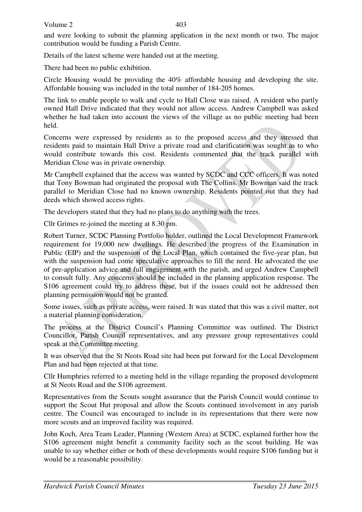Volume 2

403

and were looking to submit the planning application in the next month or two. The major contribution would be funding a Parish Centre.

Details of the latest scheme were handed out at the meeting.

There had been no public exhibition.

Circle Housing would be providing the 40% affordable housing and developing the site. Affordable housing was included in the total number of 184-205 homes.

The link to enable people to walk and cycle to Hall Close was raised. A resident who partly owned Hall Drive indicated that they would not allow access. Andrew Campbell was asked whether he had taken into account the views of the village as no public meeting had been held.

Concerns were expressed by residents as to the proposed access and they stressed that residents paid to maintain Hall Drive a private road and clarification was sought as to who would contribute towards this cost. Residents commented that the track parallel with Meridian Close was in private ownership.

Mr Campbell explained that the access was wanted by SCDC and CCC officers. It was noted that Tony Bowman had originated the proposal with The Collins. Mr Bowman said the track parallel to Meridian Close had no known ownership. Residents pointed out that they had deeds which showed access rights.

The developers stated that they had no plans to do anything with the trees.

Cllr Grimes re-joined the meeting at 8.30 pm.

Robert Turner, SCDC Planning Portfolio holder, outlined the Local Development Framework requirement for 19,000 new dwellings. He described the progress of the Examination in Public (EIP) and the suspension of the Local Plan, which contained the five-year plan, but with the suspension had come speculative approaches to fill the need. He advocated the use of pre-application advice and full engagement with the parish, and urged Andrew Campbell to consult fully. Any concerns should be included in the planning application response. The S106 agreement could try to address these, but if the issues could not be addressed then planning permission would not be granted.

Some issues, such as private access, were raised. It was stated that this was a civil matter, not a material planning consideration.

The process at the District Council's Planning Committee was outlined. The District Councillor, Parish Council representatives, and any pressure group representatives could speak at the Committee meeting.

It was observed that the St Neots Road site had been put forward for the Local Development Plan and had been rejected at that time.

Cllr Humphries referred to a meeting held in the village regarding the proposed development at St Neots Road and the S106 agreement.

Representatives from the Scouts sought assurance that the Parish Council would continue to support the Scout Hut proposal and allow the Scouts continued involvement in any parish centre. The Council was encouraged to include in its representations that there were now more scouts and an improved facility was required.

John Koch, Area Team Leader, Planning (Western Area) at SCDC, explained further how the S106 agreement might benefit a community facility such as the scout building. He was unable to say whether either or both of these developments would require S106 funding but it would be a reasonable possibility.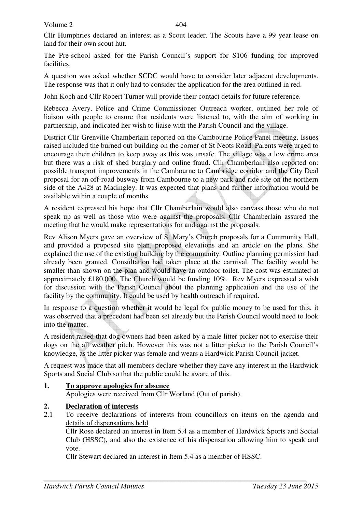Volume 2

Cllr Humphries declared an interest as a Scout leader. The Scouts have a 99 year lease on land for their own scout hut.

The Pre-school asked for the Parish Council's support for S106 funding for improved facilities.

A question was asked whether SCDC would have to consider later adjacent developments. The response was that it only had to consider the application for the area outlined in red.

John Koch and Cllr Robert Turner will provide their contact details for future reference.

Rebecca Avery, Police and Crime Commissioner Outreach worker, outlined her role of liaison with people to ensure that residents were listened to, with the aim of working in partnership, and indicated her wish to liaise with the Parish Council and the village.

District Cllr Grenville Chamberlain reported on the Cambourne Police Panel meeting. Issues raised included the burned out building on the corner of St Neots Road. Parents were urged to encourage their children to keep away as this was unsafe. The village was a low crime area but there was a risk of shed burglary and online fraud. Cllr Chamberlain also reported on: possible transport improvements in the Cambourne to Cambridge corridor and the City Deal proposal for an off-road busway from Cambourne to a new park and ride site on the northern side of the A428 at Madingley. It was expected that plans and further information would be available within a couple of months.

A resident expressed his hope that Cllr Chamberlain would also canvass those who do not speak up as well as those who were against the proposals. Cllr Chamberlain assured the meeting that he would make representations for and against the proposals.

Rev Alison Myers gave an overview of St Mary's Church proposals for a Community Hall, and provided a proposed site plan, proposed elevations and an article on the plans. She explained the use of the existing building by the community. Outline planning permission had already been granted. Consultation had taken place at the carnival. The facility would be smaller than shown on the plan and would have an outdoor toilet. The cost was estimated at approximately £180,000. The Church would be funding 10%. Rev Myers expressed a wish for discussion with the Parish Council about the planning application and the use of the facility by the community. It could be used by health outreach if required.

In response to a question whether it would be legal for public money to be used for this, it was observed that a precedent had been set already but the Parish Council would need to look into the matter.

A resident raised that dog owners had been asked by a male litter picker not to exercise their dogs on the all weather pitch. However this was not a litter picker to the Parish Council's knowledge, as the litter picker was female and wears a Hardwick Parish Council jacket.

A request was made that all members declare whether they have any interest in the Hardwick Sports and Social Club so that the public could be aware of this.

# **1. To approve apologies for absence**

Apologies were received from Cllr Worland (Out of parish).

# **2. Declaration of interests**

2.1 To receive declarations of interests from councillors on items on the agenda and details of dispensations held

Cllr Rose declared an interest in Item 5.4 as a member of Hardwick Sports and Social Club (HSSC), and also the existence of his dispensation allowing him to speak and vote.

Cllr Stewart declared an interest in Item 5.4 as a member of HSSC.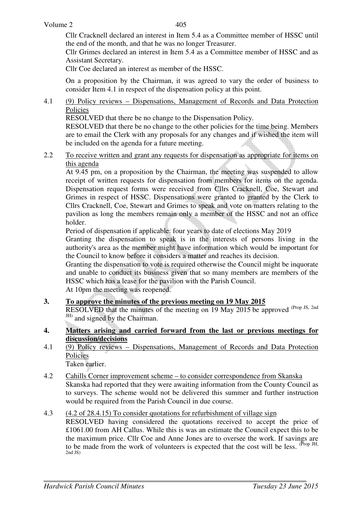Cllr Cracknell declared an interest in Item 5.4 as a Committee member of HSSC until the end of the month, and that he was no longer Treasurer.

Cllr Grimes declared an interest in Item 5.4 as a Committee member of HSSC and as Assistant Secretary.

Cllr Coe declared an interest as member of the HSSC.

On a proposition by the Chairman, it was agreed to vary the order of business to consider Item 4.1 in respect of the dispensation policy at this point.

4.1 (9) Policy reviews – Dispensations, Management of Records and Data Protection Policies

RESOLVED that there be no change to the Dispensation Policy.

RESOLVED that there be no change to the other policies for the time being. Members are to email the Clerk with any proposals for any changes and if wished the item will be included on the agenda for a future meeting.

2.2 To receive written and grant any requests for dispensation as appropriate for items on this agenda

At 9.45 pm, on a proposition by the Chairman, the meeting was suspended to allow receipt of written requests for dispensation from members for items on the agenda. Dispensation request forms were received from Cllrs Cracknell, Coe, Stewart and Grimes in respect of HSSC. Dispensations were granted to granted by the Clerk to Cllrs Cracknell, Coe, Stewart and Grimes to speak and vote on matters relating to the pavilion as long the members remain only a member of the HSSC and not an office holder.

Period of dispensation if applicable: four years to date of elections May 2019

Granting the dispensation to speak is in the interests of persons living in the authority's area as the member might have information which would be important for the Council to know before it considers a matter and reaches its decision.

Granting the dispensation to vote is required otherwise the Council might be inquorate and unable to conduct its business given that so many members are members of the HSSC which has a lease for the pavilion with the Parish Council.

At 10pm the meeting was reopened.

- **3. To approve the minutes of the previous meeting on 19 May 2015**  RESOLVED that the minutes of the meeting on 19 May 2015 be approved <sup>(Prop JS, 2nd</sup>) JH) and signed by the Chairman.
- **4. Matters arising and carried forward from the last or previous meetings for discussion/decisions**
- 4.1 (9) Policy reviews Dispensations, Management of Records and Data Protection Policies Taken earlier.

- 4.2 Cahills Corner improvement scheme to consider correspondence from Skanska Skanska had reported that they were awaiting information from the County Council as to surveys. The scheme would not be delivered this summer and further instruction would be required from the Parish Council in due course.
- 4.3 (4.2 of 28.4.15) To consider quotations for refurbishment of village sign RESOLVED having considered the quotations received to accept the price of £1061.00 from AH Callus. While this is was an estimate the Council expect this to be the maximum price. Cllr Coe and Anne Jones are to oversee the work. If savings are to be made from the work of volunteers is expected that the cost will be less.  $(\text{Prop JH})$ , 2nd JS)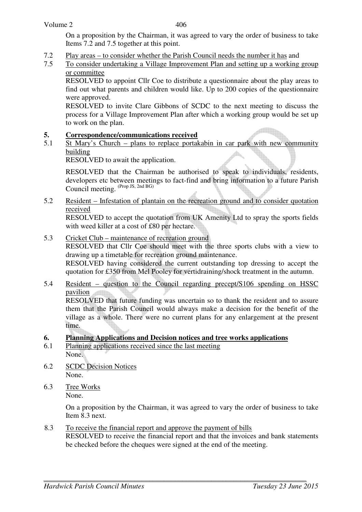On a proposition by the Chairman, it was agreed to vary the order of business to take Items 7.2 and 7.5 together at this point.

- 7.2 Play areas to consider whether the Parish Council needs the number it has and<br>7.5 To consider undertaking a Village Improvement Plan and setting up a working
- To consider undertaking a Village Improvement Plan and setting up a working group or committee

RESOLVED to appoint Cllr Coe to distribute a questionnaire about the play areas to find out what parents and children would like. Up to 200 copies of the questionnaire were approved.

RESOLVED to invite Clare Gibbons of SCDC to the next meeting to discuss the process for a Village Improvement Plan after which a working group would be set up to work on the plan.

#### **5. Correspondence/communications received**

5.1 St Mary's Church – plans to replace portakabin in car park with new community building

RESOLVED to await the application.

RESOLVED that the Chairman be authorised to speak to individuals, residents, developers etc between meetings to fact-find and bring information to a future Parish Council meeting. (Prop JS, 2nd BG)

5.2 Resident – Infestation of plantain on the recreation ground and to consider quotation received

 RESOLVED to accept the quotation from UK Amenity Ltd to spray the sports fields with weed killer at a cost of £80 per hectare.

5.3 Cricket Club – maintenance of recreation ground RESOLVED that Cllr Coe should meet with the three sports clubs with a view to drawing up a timetable for recreation ground maintenance.

 RESOLVED having considered the current outstanding top dressing to accept the quotation for £350 from Mel Pooley for vertidraining/shock treatment in the autumn.

5.4 Resident – question to the Council regarding precept/S106 spending on HSSC pavilion

 RESOLVED that future funding was uncertain so to thank the resident and to assure them that the Parish Council would always make a decision for the benefit of the village as a whole. There were no current plans for any enlargement at the present time.

#### **6. Planning Applications and Decision notices and tree works applications**

- 6.1 Planning applications received since the last meeting None.
- 6.2 SCDC Decision Notices None.
- 6.3 Tree Works None.

On a proposition by the Chairman, it was agreed to vary the order of business to take Item 8.3 next.

8.3 To receive the financial report and approve the payment of bills RESOLVED to receive the financial report and that the invoices and bank statements be checked before the cheques were signed at the end of the meeting.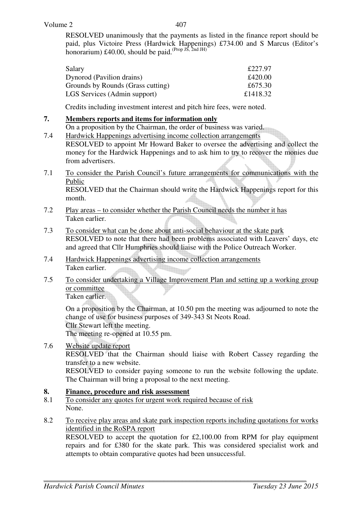407

RESOLVED unanimously that the payments as listed in the finance report should be paid, plus Victoire Press (Hardwick Happenings) £734.00 and S Marcus (Editor's honorarium)  $\pounds$ 40.00, should be paid. (Prop JS, 2nd JH)

| Salary                            | £227.97  |
|-----------------------------------|----------|
| Dynorod (Pavilion drains)         | £420.00  |
| Grounds by Rounds (Grass cutting) | £675.30  |
| LGS Services (Admin support)      | £1418.32 |

Credits including investment interest and pitch hire fees, were noted.

### **7. Members reports and items for information only**

On a proposition by the Chairman, the order of business was varied.

- 7.4 Hardwick Happenings advertising income collection arrangements RESOLVED to appoint Mr Howard Baker to oversee the advertising and collect the money for the Hardwick Happenings and to ask him to try to recover the monies due
- 7.1 To consider the Parish Council's future arrangements for communications with the Public RESOLVED that the Chairman should write the Hardwick Happenings report for this

month.

- 7.2 Play areas to consider whether the Parish Council needs the number it has Taken earlier.
- 7.3 To consider what can be done about anti-social behaviour at the skate park RESOLVED to note that there had been problems associated with Leavers' days, etc and agreed that Cllr Humphries should liaise with the Police Outreach Worker.
- 7.4 Hardwick Happenings advertising income collection arrangements Taken earlier.
- 7.5 To consider undertaking a Village Improvement Plan and setting up a working group or committee

Taken earlier.

from advertisers.

 On a proposition by the Chairman, at 10.50 pm the meeting was adjourned to note the change of use for business purposes of 349-343 St Neots Road. Cllr Stewart left the meeting. The meeting re-opened at 10.55 pm.

#### 7.6 Website update report

RESOLVED that the Chairman should liaise with Robert Cassey regarding the transfer to a new website.

RESOLVED to consider paying someone to run the website following the update. The Chairman will bring a proposal to the next meeting.

#### **8. Finance, procedure and risk assessment**

- 8.1 To consider any quotes for urgent work required because of risk None.
- 8.2 To receive play areas and skate park inspection reports including quotations for works identified in the RoSPA report

 RESOLVED to accept the quotation for £2,100.00 from RPM for play equipment repairs and for £380 for the skate park. This was considered specialist work and attempts to obtain comparative quotes had been unsuccessful.